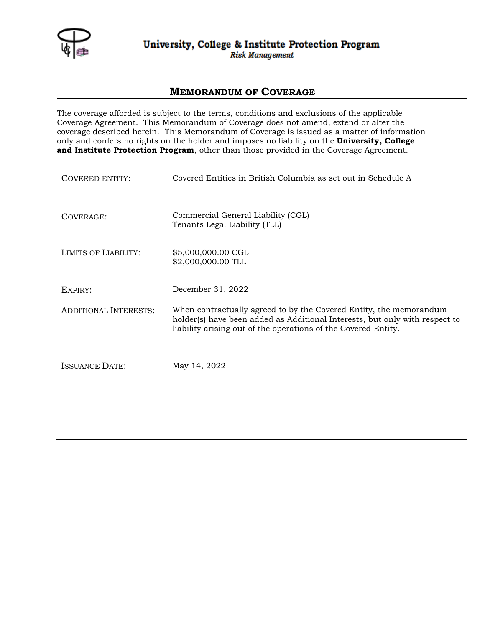

University, College & Institute Protection Program

**Risk Management** 

## **MEMORANDUM OF COVERAGE**

The coverage afforded is subject to the terms, conditions and exclusions of the applicable Coverage Agreement. This Memorandum of Coverage does not amend, extend or alter the coverage described herein. This Memorandum of Coverage is issued as a matter of information only and confers no rights on the holder and imposes no liability on the **University, College and Institute Protection Program**, other than those provided in the Coverage Agreement.

| COVERED ENTITY:              | Covered Entities in British Columbia as set out in Schedule A                                                                                                                                                       |
|------------------------------|---------------------------------------------------------------------------------------------------------------------------------------------------------------------------------------------------------------------|
| COVERAGE:                    | Commercial General Liability (CGL)<br>Tenants Legal Liability (TLL)                                                                                                                                                 |
| <b>LIMITS OF LIABILITY:</b>  | \$5,000,000.00 CGL<br>\$2,000,000.00 TLL                                                                                                                                                                            |
| EXPIRY:                      | December 31, 2022                                                                                                                                                                                                   |
| <b>ADDITIONAL INTERESTS:</b> | When contractually agreed to by the Covered Entity, the memorandum<br>holder(s) have been added as Additional Interests, but only with respect to<br>liability arising out of the operations of the Covered Entity. |
| <b>ISSUANCE DATE:</b>        | May 14, 2022                                                                                                                                                                                                        |